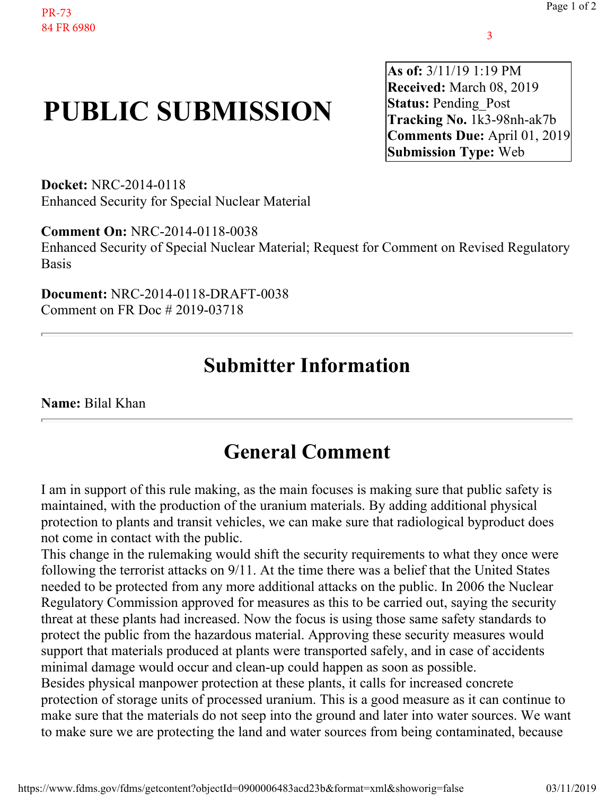## **PUBLIC SUBMISSION**

**As of:** 3/11/19 1:19 PM **Received:** March 08, 2019 **Status: Pending Post Tracking No.** 1k3-98nh-ak7b **Comments Due:** April 01, 2019 **Submission Type:** Web

**Docket:** NRC-2014-0118 Enhanced Security for Special Nuclear Material

**Comment On:** NRC-2014-0118-0038

Enhanced Security of Special Nuclear Material; Request for Comment on Revised Regulatory Basis

**Document:** NRC-2014-0118-DRAFT-0038 Comment on FR Doc # 2019-03718

## **Submitter Information**

**Name:** Bilal Khan

## **General Comment**

I am in support of this rule making, as the main focuses is making sure that public safety is maintained, with the production of the uranium materials. By adding additional physical protection to plants and transit vehicles, we can make sure that radiological byproduct does not come in contact with the public.

This change in the rulemaking would shift the security requirements to what they once were following the terrorist attacks on 9/11. At the time there was a belief that the United States needed to be protected from any more additional attacks on the public. In 2006 the Nuclear Regulatory Commission approved for measures as this to be carried out, saying the security threat at these plants had increased. Now the focus is using those same safety standards to protect the public from the hazardous material. Approving these security measures would support that materials produced at plants were transported safely, and in case of accidents minimal damage would occur and clean-up could happen as soon as possible. Besides physical manpower protection at these plants, it calls for increased concrete protection of storage units of processed uranium. This is a good measure as it can continue to make sure that the materials do not seep into the ground and later into water sources. We want to make sure we are protecting the land and water sources from being contaminated, because